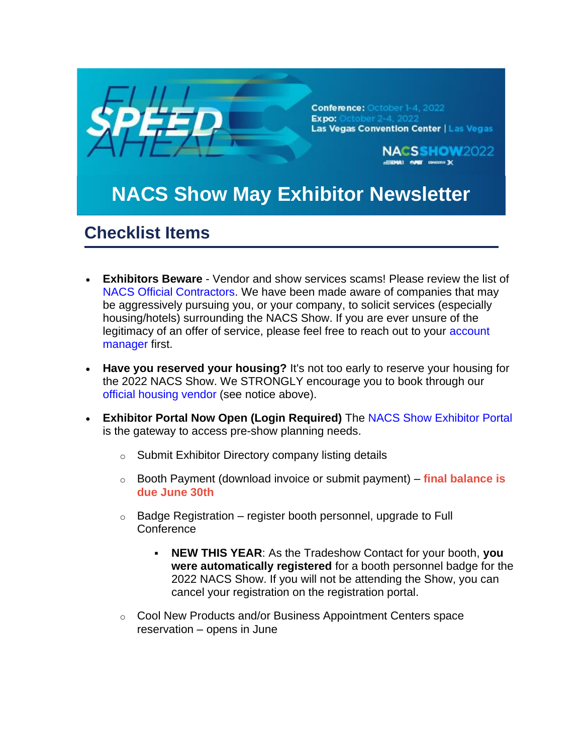

- **Exhibitors Beware** Vendor and show services scams! Please review the list of [NACS Official Contractors.](https://www.nacsshow.com/Exhibit/Exhibit-Preparation-and-Booth-Setup/PubsContractors?utm_source=email&utm_medium=email&utm_campaign=NS_NL_52422) We have been made aware of companies that may be aggressively pursuing you, or your company, to solicit services (especially housing/hotels) surrounding the NACS Show. If you are ever unsure of the legitimacy of an offer of service, please feel free to reach out to your [account](https://www.nacsshow.com/Exhibit/ExhibitorSupportTeam?utm_source=email&utm_medium=email&utm_campaign=NS_NL_52422)  [manager](https://www.nacsshow.com/Exhibit/ExhibitorSupportTeam?utm_source=email&utm_medium=email&utm_campaign=NS_NL_52422) first.
- **Have you reserved your housing?** It's not too early to reserve your housing for the 2022 NACS Show. We STRONGLY encourage you to book through our [official housing vendor](https://www.nacsshow.com/Hotel-Travel?utm_source=email&utm_medium=email&utm_campaign=NS_NL_52422) (see notice above).
- **Exhibitor Portal Now Open (Login Required)** The [NACS Show Exhibitor Portal](http://www.nacsshow.com/exhibitorportal) is the gateway to access pre-show planning needs.
	- o Submit Exhibitor Directory company listing details
	- o Booth Payment (download invoice or submit payment) **final balance is due June 30th**
	- $\circ$  Badge Registration register booth personnel, upgrade to Full **Conference** 
		- **NEW THIS YEAR:** As the Tradeshow Contact for your booth, you **were automatically registered** for a booth personnel badge for the 2022 NACS Show. If you will not be attending the Show, you can cancel your registration on the registration portal.
	- o Cool New Products and/or Business Appointment Centers space reservation – opens in June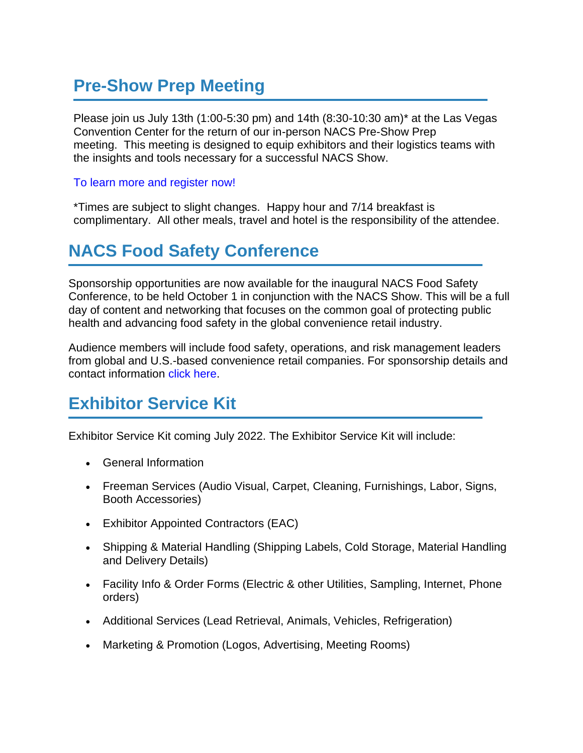## **Pre-Show Prep Meeting**

Please join us July 13th (1:00-5:30 pm) and 14th (8:30-10:30 am)\* at the Las Vegas Convention Center for the return of our in-person NACS Pre-Show Prep meeting. This meeting is designed to equip exhibitors and their logistics teams with the insights and tools necessary for a successful NACS Show.

#### [To learn more and register now!](https://www.nacsshow.com/Exhibit/Exhibit-Preparation-and-Booth-Setup/Pre-Show-Prep-Meeting?utm_source=email&utm_medium=email&utm_campaign=NS_NL_52422)

\*Times are subject to slight changes. Happy hour and 7/14 breakfast is complimentary. All other meals, travel and hotel is the responsibility of the attendee.

## **NACS Food Safety Conference**

Sponsorship opportunities are now available for the inaugural NACS Food Safety Conference, to be held October 1 in conjunction with the NACS Show. This will be a full day of content and networking that focuses on the common goal of protecting public health and advancing food safety in the global convenience retail industry.

Audience members will include food safety, operations, and risk management leaders from global and U.S.-based convenience retail companies. For sponsorship details and contact information [click here.](https://www.convenience.org/Media/Daily/2022/May/12/4-NACS-to-Host-1st-Food-Safety-Summit_NACSShow?utm_source=email&utm_medium=email&utm_campaign=NS_NL_52422)

# **Exhibitor Service Kit**

Exhibitor Service Kit coming July 2022. The Exhibitor Service Kit will include:

- General Information
- Freeman Services (Audio Visual, Carpet, Cleaning, Furnishings, Labor, Signs, Booth Accessories)
- Exhibitor Appointed Contractors (EAC)
- Shipping & Material Handling (Shipping Labels, Cold Storage, Material Handling and Delivery Details)
- Facility Info & Order Forms (Electric & other Utilities, Sampling, Internet, Phone orders)
- Additional Services (Lead Retrieval, Animals, Vehicles, Refrigeration)
- Marketing & Promotion (Logos, Advertising, Meeting Rooms)